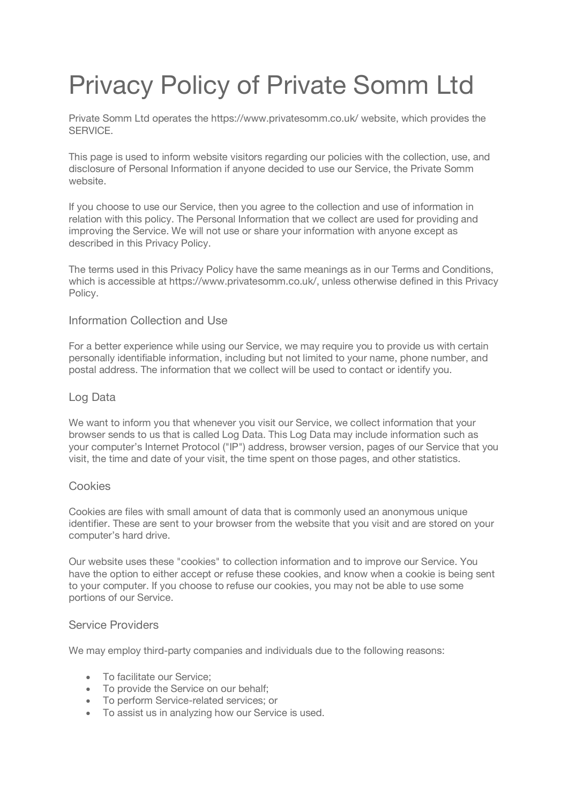# Privacy Policy of Private Somm Ltd

Private Somm Ltd operates the https://www.privatesomm.co.uk/ website, which provides the SERVICE.

This page is used to inform website visitors regarding our policies with the collection, use, and disclosure of Personal Information if anyone decided to use our Service, the Private Somm website.

If you choose to use our Service, then you agree to the collection and use of information in relation with this policy. The Personal Information that we collect are used for providing and improving the Service. We will not use or share your information with anyone except as described in this Privacy Policy.

The terms used in this Privacy Policy have the same meanings as in our Terms and Conditions, which is accessible at https://www.privatesomm.co.uk/, unless otherwise defined in this Privacy Policy.

## Information Collection and Use

For a better experience while using our Service, we may require you to provide us with certain personally identifiable information, including but not limited to your name, phone number, and postal address. The information that we collect will be used to contact or identify you.

#### Log Data

We want to inform you that whenever you visit our Service, we collect information that your browser sends to us that is called Log Data. This Log Data may include information such as your computer's Internet Protocol ("IP") address, browser version, pages of our Service that you visit, the time and date of your visit, the time spent on those pages, and other statistics.

## Cookies

Cookies are files with small amount of data that is commonly used an anonymous unique identifier. These are sent to your browser from the website that you visit and are stored on your computer's hard drive.

Our website uses these "cookies" to collection information and to improve our Service. You have the option to either accept or refuse these cookies, and know when a cookie is being sent to your computer. If you choose to refuse our cookies, you may not be able to use some portions of our Service.

#### Service Providers

We may employ third-party companies and individuals due to the following reasons:

- To facilitate our Service;
- To provide the Service on our behalf:
- To perform Service-related services; or
- To assist us in analyzing how our Service is used.